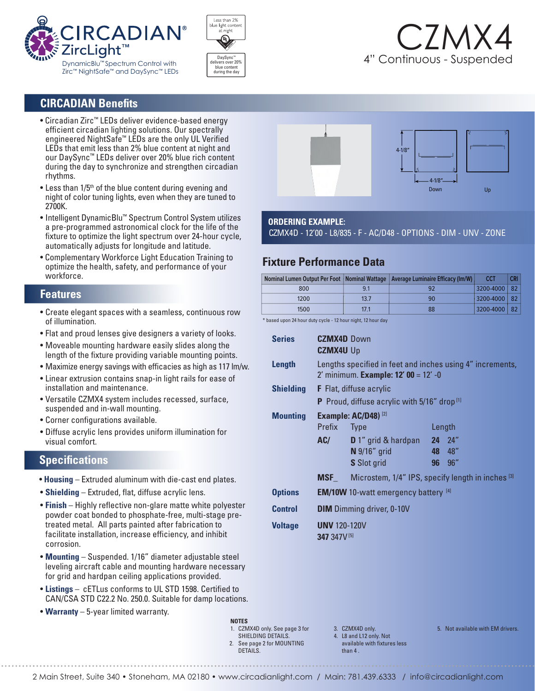





## **CIRCADIAN Benefits**

- Circadian Zirc™ LEDs deliver evidence-based energy efficient circadian lighting solutions. Our spectrally engineered NightSafe™ LEDs are the only UL Verified LEDs that emit less than 2% blue content at night and our DaySync™ LEDs deliver over 20% blue rich content during the day to synchronize and strengthen circadian rhythms.
- $\bullet$  Less than 1/5<sup>th</sup> of the blue content during evening and night of color tuning lights, even when they are tuned to 2700K.
- Intelligent DynamicBlu™ Spectrum Control System utilizes a pre-programmed astronomical clock for the life of the fixture to optimize the light spectrum over 24-hour cycle, automatically adjusts for longitude and latitude.
- Complementary Workforce Light Education Training to optimize the health, safety, and performance of your workforce.

#### **Features**

- Create elegant spaces with a seamless, continuous row of illumination.
- Flat and proud lenses give designers a variety of looks.
- Moveable mounting hardware easily slides along the length of the fixture providing variable mounting points.
- Maximize energy savings with efficacies as high as 117 lm/w.
- Linear extrusion contains snap-in light rails for ease of installation and maintenance.
- Versatile CZMX4 system includes recessed, surface, suspended and in-wall mounting.
- Corner configurations available.
- Diffuse acrylic lens provides uniform illumination for visual comfort.

## **Specifications**

- **Housing** Extruded aluminum with die-cast end plates.
- **Shielding** Extruded, flat, diffuse acrylic lens.
- **Finish** Highly reflective non-glare matte white polyester powder coat bonded to phosphate-free, multi-stage pre treated metal. All parts painted after fabrication to facilitate installation, increase efficiency, and inhibit corrosion.
- **Mounting** Suspended. 1/16" diameter adjustable steel leveling aircraft cable and mounting hardware necessary for grid and hardpan ceiling applications provided.
- **Listings** cETLus conforms to UL STD 1598. Certified to CAN/CSA STD C22.2 No. 250.0. Suitable for damp locations.
- **Warranty** 5-year limited warranty.



#### **ORDERING EXAMPLE:**

CZMX4D - 12'00 - L8/835 - F - AC/D48 - OPTIONS - DIM - UNV - ZONE

## **Fixture Performance Data**

|      |      | <b>Nominal Lumen Output Per Foot   Nominal Wattage   Average Luminaire Efficacy (Im/W)</b> | <b>CCT</b>     | <b>CRI</b> |
|------|------|--------------------------------------------------------------------------------------------|----------------|------------|
| 800  | 9.1  |                                                                                            | 3200-4000   82 |            |
| 1200 | 13.7 | 90                                                                                         | 3200-4000   82 |            |
| 1500 | 17.1 | 88                                                                                         | 3200-4000   82 |            |

\* based upon 24 hour duty cycle - 12 hour night, 12 hour day

| <b>Series</b>    | <b>CZMX4D</b> Down<br><b>CZMX4U Up</b>                                                            |                                                                    |        |               |  |  |
|------------------|---------------------------------------------------------------------------------------------------|--------------------------------------------------------------------|--------|---------------|--|--|
| Length           | Lengths specified in feet and inches using 4" increments,<br>2' minimum. Example: 12' 00 = 12' -0 |                                                                    |        |               |  |  |
| <b>Shielding</b> | <b>F</b> Flat, diffuse acrylic                                                                    |                                                                    |        |               |  |  |
|                  | <b>P</b> Proud, diffuse acrylic with $5/16$ " drop <sup>[1]</sup>                                 |                                                                    |        |               |  |  |
| <b>Mounting</b>  | <b>Example: AC/D48)</b> [2]                                                                       |                                                                    |        |               |  |  |
|                  | Prefix Type                                                                                       |                                                                    | Length |               |  |  |
|                  |                                                                                                   | AC/ D 1" grid & hardpan 24 24"                                     |        |               |  |  |
|                  |                                                                                                   | $N$ 9/16" grid                                                     |        | 48 48"        |  |  |
|                  |                                                                                                   | <b>S</b> Slot grid                                                 |        | <b>96</b> 96" |  |  |
|                  |                                                                                                   | <b>MSF_</b> Microstem, $1/4$ " IPS, specify length in inches $[3]$ |        |               |  |  |
| <b>Options</b>   | <b>EM/10W</b> 10-watt emergency battery [4]                                                       |                                                                    |        |               |  |  |
| <b>Control</b>   | <b>DIM</b> Dimming driver, 0-10V                                                                  |                                                                    |        |               |  |  |
| <b>Voltage</b>   | <b>UNV 120-120V</b><br>347 347V [5]                                                               |                                                                    |        |               |  |  |

3. CZMX4D only.

4. L8 and L12 only. Not available with fixtures less than 4

5. Not available with EM drivers.

**NOTES** 1. CZMX4D only. See page 3 for SHIELDING DETAILS. 2. See page 2 for MOUNTING DETAILS.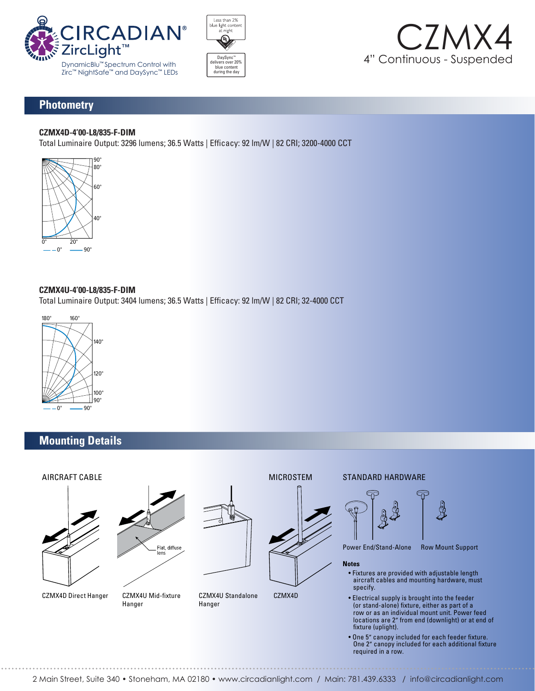





## **Photometry**

#### **CZMX4D-4'00-L8/835-F-DIM**

Total Luminaire Output: 3296 lumens; 36.5 Watts | Efficacy: 92 lm/W | 82 CRI; 3200-4000 CCT



#### **CZMX4U-4'00-L8/835-F-DIM**  180° 160°

**сzмачо-ч оо-со/озэ-т-ыт.**<br>Total Luminaire Output: 3404 lumens; 36.5 Watts | Efficacy: 92 lm/W | 82 CRI; 32-4000 CCT  $\frac{1}{\sqrt{2}}$ 



## **Mounting Details**